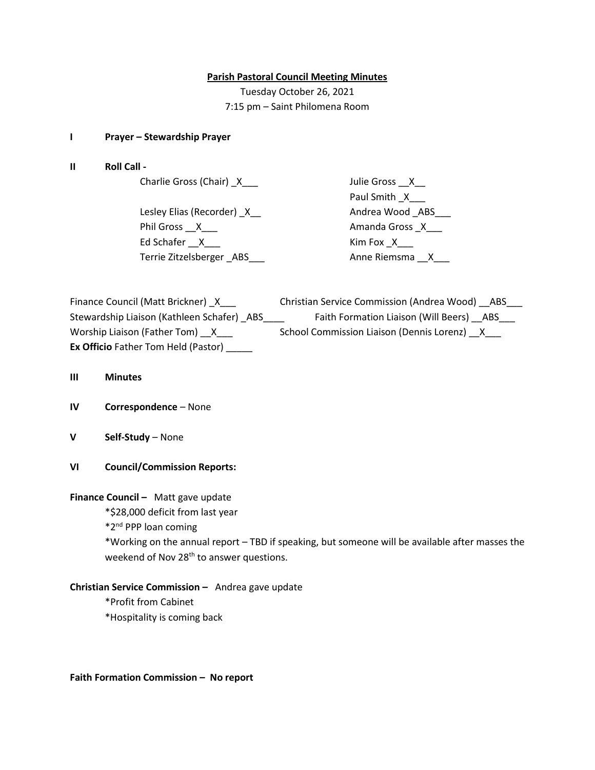### **Parish Pastoral Council Meeting Minutes**

Tuesday October 26, 2021 7:15 pm – Saint Philomena Room

### **I Prayer – Stewardship Prayer**

**II Roll Call -**

Charlie Gross (Chair) \_X\_\_\_ Julie Gross \_\_X\_\_

Lesley Elias (Recorder) \_X\_\_ Andrea Wood \_ABS\_\_\_ Phil Gross \_\_X\_\_\_ Amanda Gross \_X\_\_\_ Ed Schafer \_\_X\_\_\_ Kim Fox \_X \_\_\_ Terrie Zitzelsberger \_ABS \_\_\_ \_\_\_\_ \_\_\_\_\_\_\_\_ Anne Riemsma \_\_X\_\_\_

Paul Smith \_X\_\_\_

| Finance Council (Matt Brickner) X          | <b>Christian Service Commission (Andrea Wood)</b><br>ABS |
|--------------------------------------------|----------------------------------------------------------|
| Stewardship Liaison (Kathleen Schafer) ABS | Faith Formation Liaison (Will Beers) ABS                 |
| Worship Liaison (Father Tom) X             | School Commission Liaison (Dennis Lorenz) X              |
| <b>Ex Officio</b> Father Tom Held (Pastor) |                                                          |

- **III Minutes**
- **IV Correspondence** None
- **V Self-Study** None
- **VI Council/Commission Reports:**

# **Finance Council –** Matt gave update

\*\$28,000 deficit from last year

\*2nd PPP loan coming

\*Working on the annual report – TBD if speaking, but someone will be available after masses the weekend of Nov 28<sup>th</sup> to answer questions.

# **Christian Service Commission –** Andrea gave update

\*Profit from Cabinet

\*Hospitality is coming back

**Faith Formation Commission – No report**